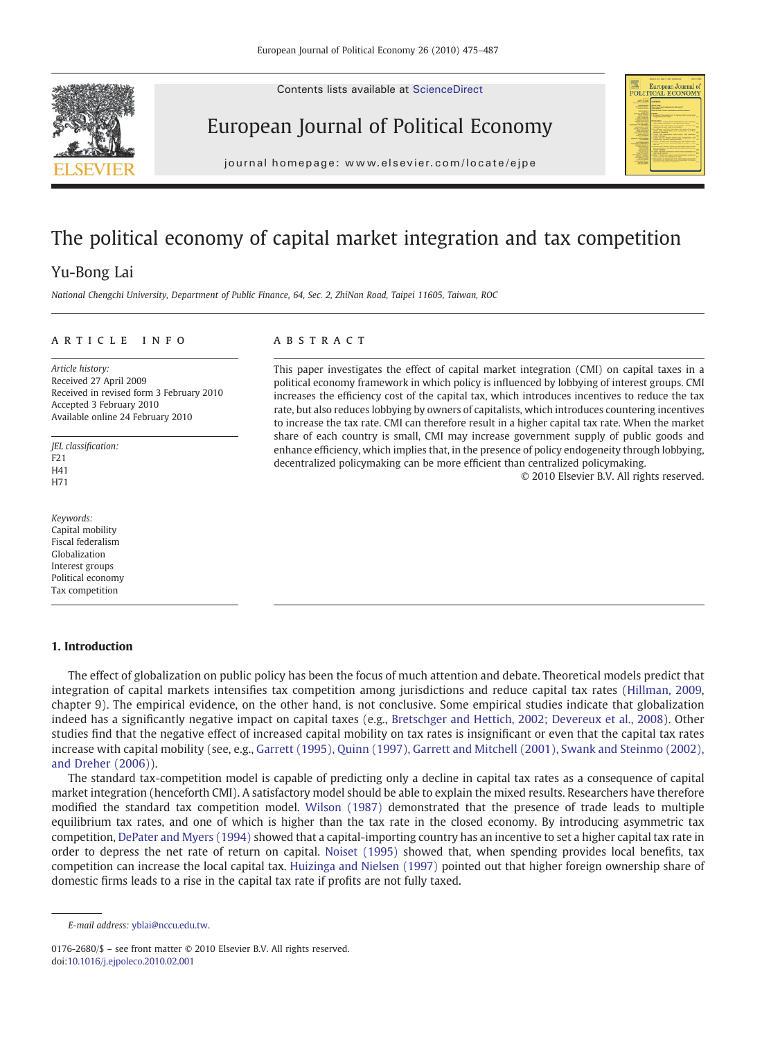Contents lists available at ScienceDirect







journal homepage: www.elsevier.com/locate/ejpe

## The political economy of capital market integration and tax competition

### Yu-Bong Lai

National Chengchi University, Department of Public Finance, 64, Sec. 2, ZhiNan Road, Taipei 11605, Taiwan, ROC

#### article info abstract

Article history: Received 27 April 2009 Received in revised form 3 February 2010 Accepted 3 February 2010 Available online 24 February 2010

JEL classification:  $F21$ H41 H71

Keywords: Capital mobility Fiscal federalism Globalization Interest groups Political economy Tax competition

### 1. Introduction

This paper investigates the effect of capital market integration (CMI) on capital taxes in a political economy framework in which policy is influenced by lobbying of interest groups. CMI increases the efficiency cost of the capital tax, which introduces incentives to reduce the tax rate, but also reduces lobbying by owners of capitalists, which introduces countering incentives to increase the tax rate. CMI can therefore result in a higher capital tax rate. When the market share of each country is small, CMI may increase government supply of public goods and enhance efficiency, which implies that, in the presence of policy endogeneity through lobbying, decentralized policymaking can be more efficient than centralized policymaking.

© 2010 Elsevier B.V. All rights reserved.

The effect of globalization on public policy has been the focus of much attention and debate. Theoretical models predict that integration of capital markets intensifies tax competition among jurisdictions and reduce capital tax rates ([Hillman, 2009](#page--1-0), chapter 9). The empirical evidence, on the other hand, is not conclusive. Some empirical studies indicate that globalization indeed has a significantly negative impact on capital taxes (e.g., [Bretschger and Hettich, 2002; Devereux et al., 2008\)](#page--1-0). Other studies find that the negative effect of increased capital mobility on tax rates is insignificant or even that the capital tax rates increase with capital mobility (see, e.g., [Garrett \(1995\), Quinn \(1997\), Garrett and Mitchell \(2001\), Swank and Steinmo \(2002\),](#page--1-0) [and Dreher \(2006\)](#page--1-0)).

The standard tax-competition model is capable of predicting only a decline in capital tax rates as a consequence of capital market integration (henceforth CMI). A satisfactory model should be able to explain the mixed results. Researchers have therefore modified the standard tax competition model. [Wilson \(1987\)](#page--1-0) demonstrated that the presence of trade leads to multiple equilibrium tax rates, and one of which is higher than the tax rate in the closed economy. By introducing asymmetric tax competition, [DePater and Myers \(1994\)](#page--1-0) showed that a capital-importing country has an incentive to set a higher capital tax rate in order to depress the net rate of return on capital. [Noiset \(1995\)](#page--1-0) showed that, when spending provides local benefits, tax competition can increase the local capital tax. [Huizinga and Nielsen \(1997\)](#page--1-0) pointed out that higher foreign ownership share of domestic firms leads to a rise in the capital tax rate if profits are not fully taxed.

E-mail address: [yblai@nccu.edu.tw](mailto:yblai@nccu.edu.tw).

<sup>0176-2680/\$</sup> – see front matter © 2010 Elsevier B.V. All rights reserved. doi[:10.1016/j.ejpoleco.2010.02.001](http://dx.doi.org/10.1016/j.ejpoleco.2010.02.001)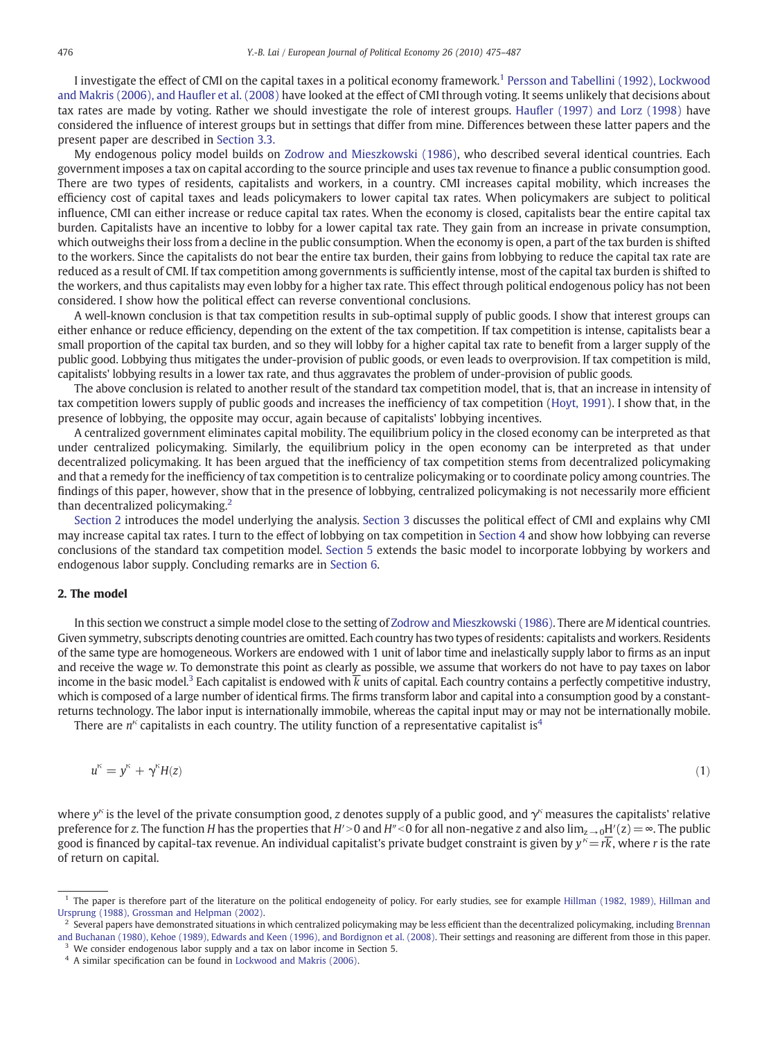I investigate the effect of CMI on the capital taxes in a political economy framework.1 [Persson and Tabellini \(1992\), Lockwood](#page--1-0) [and Makris \(2006\), and Hau](#page--1-0)fler et al. (2008) have looked at the effect of CMI through voting. It seems unlikely that decisions about tax rates are made by voting. Rather we should investigate the role of interest groups. Haufl[er \(1997\) and Lorz \(1998\)](#page--1-0) have considered the influence of interest groups but in settings that differ from mine. Differences between these latter papers and the present paper are described in [Section 3.3.](#page--1-0)

My endogenous policy model builds on [Zodrow and Mieszkowski \(1986\),](#page--1-0) who described several identical countries. Each government imposes a tax on capital according to the source principle and uses tax revenue to finance a public consumption good. There are two types of residents, capitalists and workers, in a country. CMI increases capital mobility, which increases the efficiency cost of capital taxes and leads policymakers to lower capital tax rates. When policymakers are subject to political influence, CMI can either increase or reduce capital tax rates. When the economy is closed, capitalists bear the entire capital tax burden. Capitalists have an incentive to lobby for a lower capital tax rate. They gain from an increase in private consumption, which outweighs their loss from a decline in the public consumption. When the economy is open, a part of the tax burden is shifted to the workers. Since the capitalists do not bear the entire tax burden, their gains from lobbying to reduce the capital tax rate are reduced as a result of CMI. If tax competition among governments is sufficiently intense, most of the capital tax burden is shifted to the workers, and thus capitalists may even lobby for a higher tax rate. This effect through political endogenous policy has not been considered. I show how the political effect can reverse conventional conclusions.

A well-known conclusion is that tax competition results in sub-optimal supply of public goods. I show that interest groups can either enhance or reduce efficiency, depending on the extent of the tax competition. If tax competition is intense, capitalists bear a small proportion of the capital tax burden, and so they will lobby for a higher capital tax rate to benefit from a larger supply of the public good. Lobbying thus mitigates the under-provision of public goods, or even leads to overprovision. If tax competition is mild, capitalists' lobbying results in a lower tax rate, and thus aggravates the problem of under-provision of public goods.

The above conclusion is related to another result of the standard tax competition model, that is, that an increase in intensity of tax competition lowers supply of public goods and increases the inefficiency of tax competition ([Hoyt, 1991\)](#page--1-0). I show that, in the presence of lobbying, the opposite may occur, again because of capitalists' lobbying incentives.

A centralized government eliminates capital mobility. The equilibrium policy in the closed economy can be interpreted as that under centralized policymaking. Similarly, the equilibrium policy in the open economy can be interpreted as that under decentralized policymaking. It has been argued that the inefficiency of tax competition stems from decentralized policymaking and that a remedy for the inefficiency of tax competition is to centralize policymaking or to coordinate policy among countries. The findings of this paper, however, show that in the presence of lobbying, centralized policymaking is not necessarily more efficient than decentralized policymaking.<sup>2</sup>

Section 2 introduces the model underlying the analysis. [Section 3](#page--1-0) discusses the political effect of CMI and explains why CMI may increase capital tax rates. I turn to the effect of lobbying on tax competition in [Section 4](#page--1-0) and show how lobbying can reverse conclusions of the standard tax competition model. [Section 5](#page--1-0) extends the basic model to incorporate lobbying by workers and endogenous labor supply. Concluding remarks are in [Section 6](#page--1-0).

#### 2. The model

In this section we construct a simple model close to the setting of [Zodrow and Mieszkowski \(1986\).](#page--1-0) There are M identical countries. Given symmetry, subscripts denoting countries are omitted. Each country has two types of residents: capitalists and workers. Residents of the same type are homogeneous. Workers are endowed with 1 unit of labor time and inelastically supply labor to firms as an input and receive the wage w. To demonstrate this point as clearly as possible, we assume that workers do not have to pay taxes on labor income in the basic model.<sup>3</sup> Each capitalist is endowed with  $\overline{k}$  units of capital. Each country contains a perfectly competitive industry, which is composed of a large number of identical firms. The firms transform labor and capital into a consumption good by a constantreturns technology. The labor input is internationally immobile, whereas the capital input may or may not be internationally mobile.

There are  $n<sup>k</sup>$  capitalists in each country. The utility function of a representative capitalist is<sup>4</sup>

$$
u^k = y^k + \gamma^k H(z) \tag{1}
$$

where  $y^k$  is the level of the private consumption good, z denotes supply of a public good, and  $y^k$  measures the capitalists' relative preference for z. The function H has the properties that H′>0 and H″<0 for all non-negative z and also  $\lim_{z\to 0}H'(z)=\infty$ . The public good is financed by capital-tax revenue. An individual capitalist's private budget constraint is given by  $y^k = r\overline{k}$ , where r is the rate of return on capital.

<sup>&</sup>lt;sup>1</sup> The paper is therefore part of the literature on the political endogeneity of policy. For early studies, see for example [Hillman \(1982, 1989\), Hillman and](#page--1-0) [Ursprung \(1988\), Grossman and Helpman \(2002\).](#page--1-0)

 $^2$  Several papers have demonstrated situations in which centralized policymaking may be less efficient than the decentralized policymaking, including [Brennan](#page--1-0) [and Buchanan \(1980\), Kehoe \(1989\), Edwards and Keen \(1996\), and Bordignon et al. \(2008\).](#page--1-0) Their settings and reasoning are different from those in this paper. <sup>3</sup> We consider endogenous labor supply and a tax on labor income in Section 5.

<sup>4</sup> A similar specification can be found in [Lockwood and Makris \(2006\)](#page--1-0).